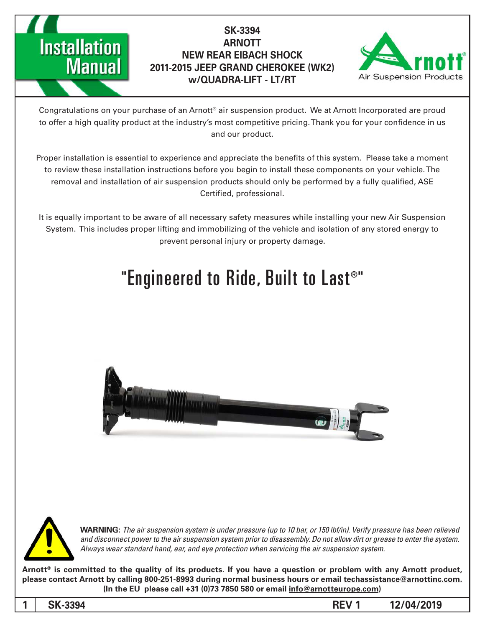

### **SK-3394 ARNOTT NEW REAR EIBACH SHOCK 2011-2015 JEEP GRAND CHEROKEE (WK2) w/QUADRA-LIFT - LT/RT**



Congratulations on your purchase of an Arnott® air suspension product. We at Arnott Incorporated are proud to offer a high quality product at the industry's most competitive pricing. Thank you for your confidence in us and our product.

Proper installation is essential to experience and appreciate the benefits of this system. Please take a moment to review these installation instructions before you begin to install these components on your vehicle. The removal and installation of air suspension products should only be performed by a fully qualified, ASE Certified, professional.

It is equally important to be aware of all necessary safety measures while installing your new Air Suspension System. This includes proper lifting and immobilizing of the vehicle and isolation of any stored energy to prevent personal injury or property damage.

### "Engineered to Ride, Built to Last®"





*WARNING: The air suspension system is under pressure (up to 10 bar, or 150 lbf/in). Verify pressure has been relieved* and disconnect power to the air suspension system prior to disassembly. Do not allow dirt or grease to enter the system. Always wear standard hand, ear, and eye protection when servicing the air suspension system.

Arnott<sup>®</sup> is committed to the quality of its products. If you have a question or problem with any Arnott product, please contact Arnott by calling 800-251-8993 during normal business hours or email techassistance@arnottinc.com. (In the EU please call +31 (0)73 7850 580 or email info@arnotteurope.com)

**12/04/2019 1 REV -3394SK 1**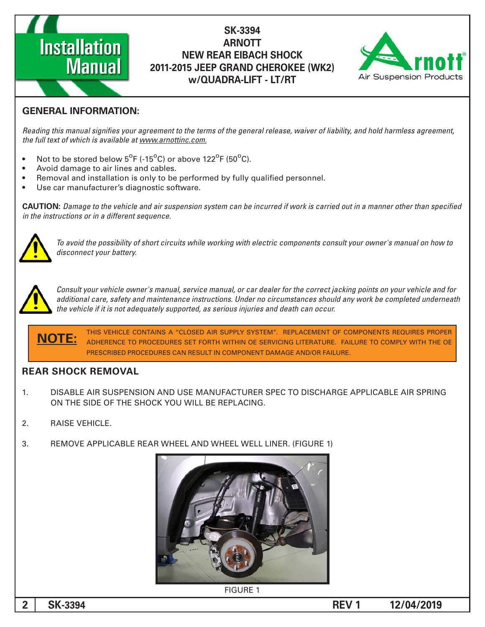# **Installation Manual**

### **SK-3394 ARNOTT NEW REAR EIBACH SHOCK 2011-2015 JEEP GRAND CHEROKEE (WK2) w/QUADRA-LIFT - LT/RT**



### **GENERAL INFORMATION:**

Reading this manual signifies your agreement to the terms of the general release, waiver of liability, and hold harmless agreement, the full text of which is available at www.arnottinc.com.

- Not to be stored below  $5^{\circ}$ F (-15 $^{\circ}$ C) or above 122 $^{\circ}$ F (50 $^{\circ}$ C).
- Avoid damage to air lines and cables.
- Removal and installation is only to be performed by fully qualified personnel.
- Use car manufacturer's diagnostic software.

**CAUTION:** Damage to the vehicle and air suspension system can be incurred if work is carried out in a manner other than specified *in the instructions or in a different sequence.* 



 *to how on manual s'owner your consult components electric with working while circuits short of possibility the avoid To* disconnect your battery.



*Consult your vehicle owner's manual, service manual, or car dealer for the correct jacking points on your vehicle and for* additional care, safety and maintenance instructions. Under no circumstances should any work be completed underneath the vehicle if it is not adequately supported, as serious injuries and death can occur.

THIS VEHICLE CONTAINS A "CLOSED AIR SUPPLY SYSTEM". REPLACEMENT OF COMPONENTS REQUIRES PROPER ADHERENCE TO PROCEDURES SET FORTH WITHIN OE SERVICING LITERATURE. FAILURE TO COMPLY WITH THE OE PRESCRIBED PROCEDURES CAN RESULT IN COMPONENT DAMAGE AND/OR FAILURE. **:NOTE**

#### **REAR SHOCK REMOVAL**

- 1. DISABLE AIR SUSPENSION AND USE MANUFACTURER SPEC TO DISCHARGE APPLICABLE AIR SPRING ON THE SIDE OF THE SHOCK YOU WILL BE REPLACING.
- 2. RAISE VEHICLE.
- 3. REMOVE APPLICABLE REAR WHEEL AND WHEEL WELL LINER. (FIGURE 1)



**FIGURE 1**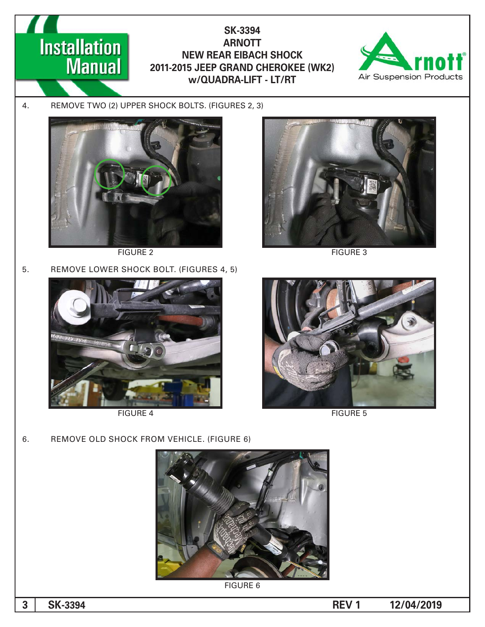### **Installation Manual**

**SK-3394 ARNOTT NEW REAR EIBACH SHOCK 2011-2015 JEEP GRAND CHEROKEE (WK2) w/QUADRA-LIFT - LT/RT** 



4. REMOVE TWO (2) UPPER SHOCK BOLTS. (FIGURES 2, 3)



FIGURE 2 FIGURE 3

5. REMOVE LOWER SHOCK BOLT. (FIGURES 4, 5)







FIGURE 4 FIGURE 5

6. REMOVE OLD SHOCK FROM VEHICLE. (FIGURE 6)



**FIGURE 6**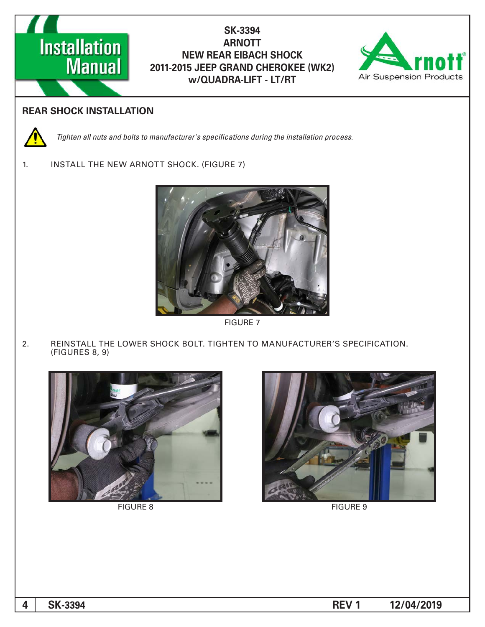

### **SK-3394 ARNOTT NEW REAR EIBACH SHOCK 2011-2015 JEEP GRAND CHEROKEE (WK2) w/QUADRA-LIFT - LT/RT**



#### **REAR SHOCK INSTALLATION**



*Tighten all nuts and bolts to manufacturer's specifications during the installation process.* 

1. INSTALL THE NEW ARNOTT SHOCK. (FIGURE 7)



**FIGURE 7** 

2. REINSTALL THE LOWER SHOCK BOLT. TIGHTEN TO MANUFACTURER'S SPECIFICATION.  $(FIGURES 8, 9)$